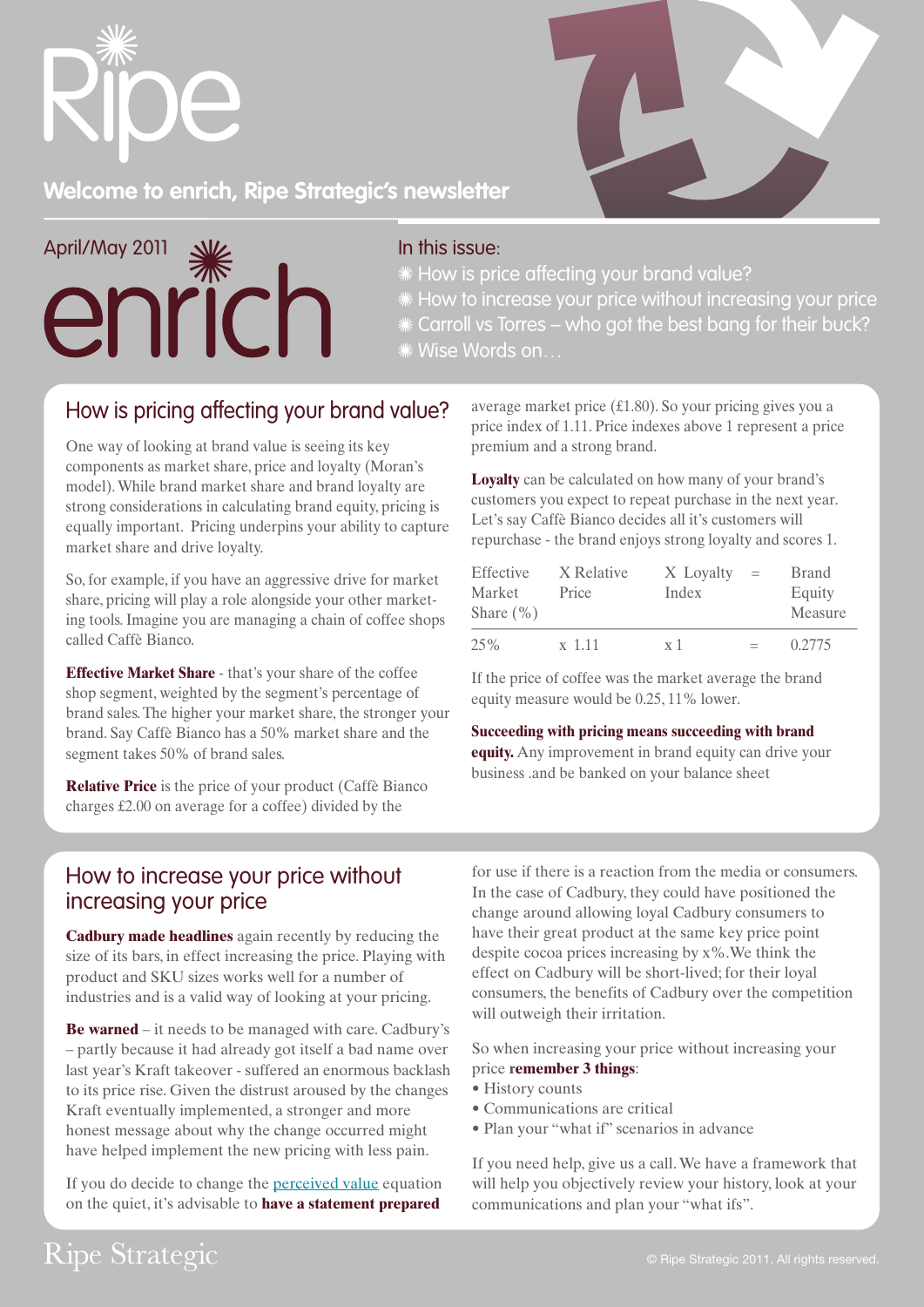



# **Welcome to enrich, Ripe Strategic's newsletter**

April/May 2011 enrich

#### In this issue:

How is price affecting your brand value?

How to increase your price without increasing your price

Carroll vs Torres – who got the best bang for their buck?

Wise Words on…

## How is pricing affecting your brand value?

One way of looking at brand value is seeing its key components as market share, price and loyalty (Moran's model). While brand market share and brand loyalty are strong considerations in calculating brand equity, pricing is equally important. Pricing underpins your ability to capture market share and drive loyalty.

So, for example, if you have an aggressive drive for market share, pricing will play a role alongside your other marketing tools. Imagine you are managing a chain of coffee shops called Caffè Bianco.

**Effective Market Share** - that's your share of the coffee shop segment, weighted by the segment's percentage of brand sales. The higher your market share, the stronger your brand. Say Caffè Bianco has a 50% market share and the segment takes 50% of brand sales.

**Relative Price** is the price of your product (Caffè Bianco charges £2.00 on average for a coffee) divided by the

average market price (£1.80). So your pricing gives you a price index of 1.11. Price indexes above 1 represent a price premium and a strong brand.

**Loyalty** can be calculated on how many of your brand's customers you expect to repeat purchase in the next year. Let's say Caffè Bianco decides all it's customers will repurchase - the brand enjoys strong loyalty and scores 1.

| Effective<br>Market<br>Share $(\% )$ | X Relative<br>Price | X Loyalty<br>Index | $=$ | <b>Brand</b><br>Equity<br>Measure |
|--------------------------------------|---------------------|--------------------|-----|-----------------------------------|
| 25%                                  | $x$ 1 1 1           | x <sub>1</sub>     | $=$ | 0.2775                            |

If the price of coffee was the market average the brand equity measure would be 0.25, 11% lower.

#### **Succeeding with pricing means succeeding with brand**

**equity.** Any improvement in brand equity can drive your business .and be banked on your balance sheet

### How to increase your price without increasing your price

**Cadbury made headlines** again recently by reducing the size of its bars, in effect increasing the price. Playing with product and SKU sizes works well for a number of industries and is a valid way of looking at your pricing.

**Be warned** – it needs to be managed with care. Cadbury's – partly because it had already got itself a bad name over last year's Kraft takeover - suffered an enormous backlash to its price rise. Given the distrust aroused by the changes Kraft eventually implemented, a stronger and more honest message about why the change occurred might have helped implement the new pricing with less pain.

If you do decide to change the [perceived value](http://www.ripestrategic.com/how-we-work/pricing-fundamentals.php) equation on the quiet, it's advisable to **have a statement prepared**

for use if there is a reaction from the media or consumers. In the case of Cadbury, they could have positioned the change around allowing loyal Cadbury consumers to have their great product at the same key price point despite cocoa prices increasing by x%.We think the effect on Cadbury will be short-lived; for their loyal consumers, the benefits of Cadbury over the competition will outweigh their irritation.

So when increasing your price without increasing your price **remember 3 things**:

- History counts
- Communications are critical
- Plan your "what if" scenarios in advance

If you need help, give us a call. We have a framework that will help you objectively review your history, look at your communications and plan your "what ifs".